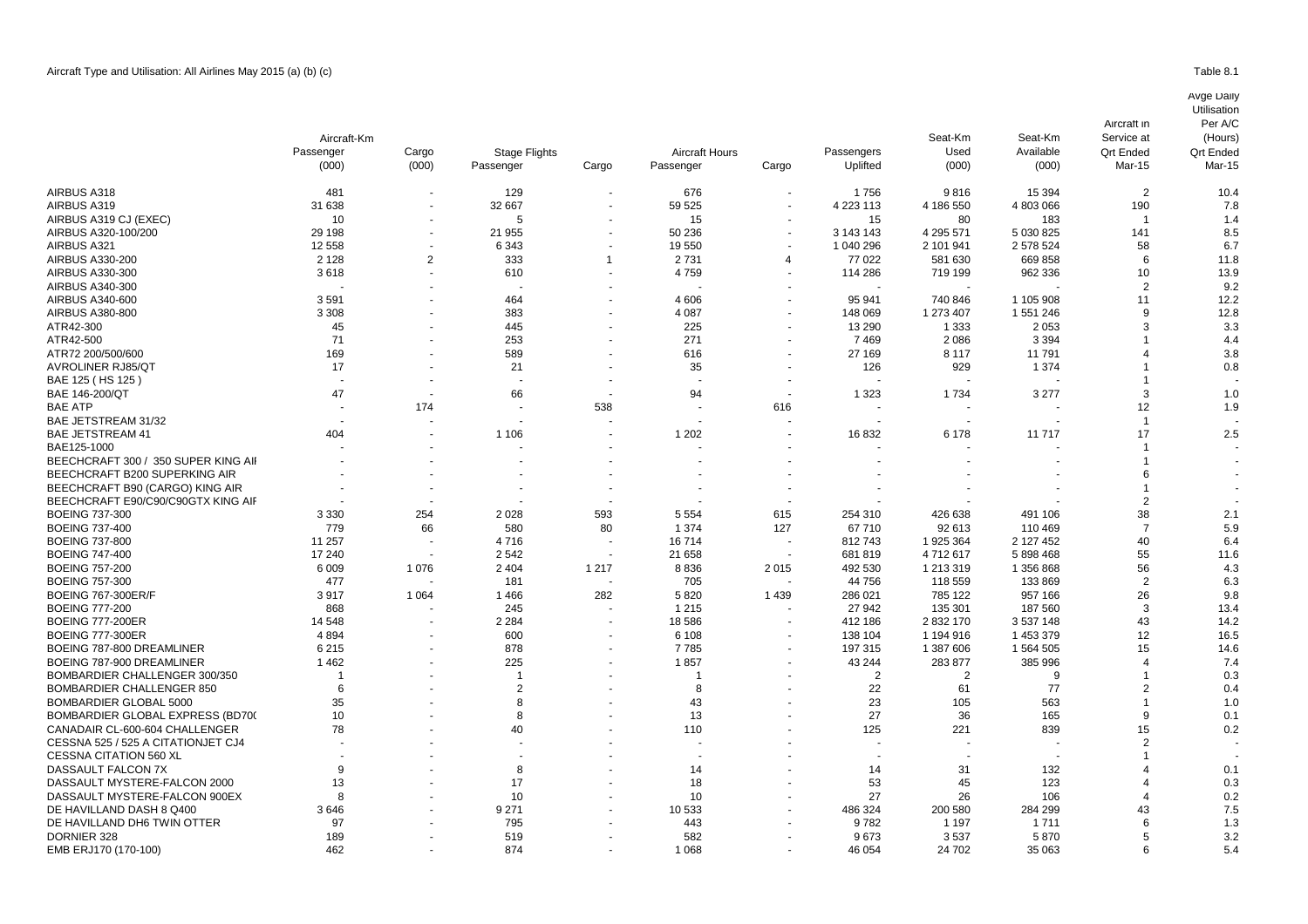|                                     | Aircraft-Km |                |                      |                |                |        |                        | Seat-Km<br>Used<br>(000) | Seat-Km<br>Available<br>(000) | Service at<br><b>Qrt Ended</b><br>Mar-15 | (Hours)<br><b>Qrt Ended</b><br>Mar-15 |
|-------------------------------------|-------------|----------------|----------------------|----------------|----------------|--------|------------------------|--------------------------|-------------------------------|------------------------------------------|---------------------------------------|
|                                     | Passenger   | Cargo          | <b>Stage Flights</b> |                | Aircraft Hours |        | Passengers<br>Uplifted |                          |                               |                                          |                                       |
|                                     | (000)       | (000)          | Passenger            | Cargo          | Passenger      | Cargo  |                        |                          |                               |                                          |                                       |
| AIRBUS A318                         | 481         |                | 129                  | $\blacksquare$ | 676            |        | 1756                   | 9816                     | 15 3 94                       | $\overline{2}$                           | 10.4                                  |
| AIRBUS A319                         | 31 638      |                | 32 667               |                | 59 525         |        | 4 223 113              | 4 186 550                | 4 803 066                     | 190                                      | 7.8                                   |
| AIRBUS A319 CJ (EXEC)               | 10          |                | 5                    |                | 15             |        | 15                     | 80                       | 183                           | -1                                       | 1.4                                   |
| AIRBUS A320-100/200                 | 29 198      |                | 21 955               |                | 50 236         |        | 3 143 143              | 4 295 571                | 5 030 825                     | 141                                      | 8.5                                   |
| AIRBUS A321                         | 12 5 58     |                | 6 3 4 3              |                | 19550          |        | 1 040 296              | 2 101 941                | 2 578 524                     | 58                                       | 6.7                                   |
| AIRBUS A330-200                     | 2 1 2 8     | $\overline{2}$ | 333                  | -1             | 2731           | 4      | 77 022                 | 581 630                  | 669 858                       | 6                                        | 11.8                                  |
| AIRBUS A330-300                     | 3618        |                | 610                  |                | 4759           |        | 114 286                | 719 199                  | 962 336                       | 10                                       | 13.9                                  |
| AIRBUS A340-300                     |             |                |                      |                |                |        |                        |                          |                               | $\overline{2}$                           | 9.2                                   |
| AIRBUS A340-600                     | 3591        |                | 464                  |                | 4 6 0 6        |        | 95 941                 | 740 846                  | 1 105 908                     | 11                                       | 12.2                                  |
| AIRBUS A380-800                     | 3 3 0 8     |                | 383                  |                | 4 0 8 7        |        | 148 069                | 1 273 407                | 1 551 246                     | 9                                        | 12.8                                  |
| ATR42-300                           | 45          |                | 445                  |                | 225            |        | 13 290                 | 1 3 3 3                  | 2 0 5 3                       | 3                                        | 3.3                                   |
| ATR42-500                           | 71          |                | 253                  |                | 271            |        | 7469                   | 2086                     | 3 3 9 4                       |                                          | 4.4                                   |
| ATR72 200/500/600                   | 169         |                | 589                  |                | 616            |        | 27 169                 | 8 1 1 7                  | 11791                         |                                          | 3.8                                   |
| <b>AVROLINER RJ85/QT</b>            | 17          |                | 21                   |                | 35             |        | 126                    | 929                      | 1 3 7 4                       |                                          | 0.8                                   |
| BAE 125 (HS 125)                    |             |                |                      |                |                |        |                        |                          |                               |                                          |                                       |
| BAE 146-200/QT                      | 47          |                | 66                   |                | 94             |        | 1 3 2 3                | 1734                     | 3 2 7 7                       | 3                                        | 1.0                                   |
| <b>BAE ATP</b>                      |             | 174            |                      | 538            |                |        |                        |                          |                               | 12                                       |                                       |
| BAE JETSTREAM 31/32                 |             |                |                      |                |                | 616    |                        |                          |                               | -1                                       | 1.9                                   |
| <b>BAE JETSTREAM 41</b>             |             |                |                      |                |                |        |                        |                          |                               | 17                                       | 2.5                                   |
|                                     | 404         |                | 1 1 0 6              |                | 1 2 0 2        |        | 16832                  | 6 1 7 8                  | 11717                         |                                          |                                       |
| BAE125-1000                         |             |                |                      |                |                |        |                        |                          |                               |                                          |                                       |
| BEECHCRAFT 300 / 350 SUPER KING AII |             |                |                      |                |                |        |                        |                          |                               |                                          |                                       |
| BEECHCRAFT B200 SUPERKING AIR       |             |                |                      |                |                |        |                        |                          |                               |                                          |                                       |
| BEECHCRAFT B90 (CARGO) KING AIR     |             |                |                      |                |                |        |                        |                          |                               |                                          |                                       |
| BEECHCRAFT E90/C90/C90GTX KING AIF  |             |                |                      |                |                |        |                        |                          |                               | $\overline{2}$                           |                                       |
| <b>BOEING 737-300</b>               | 3 3 3 0     | 254            | 2 0 2 8              | 593            | 5 5 5 4        | 615    | 254 310                | 426 638                  | 491 106                       | 38                                       | 2.1                                   |
| <b>BOEING 737-400</b>               | 779         | 66             | 580                  | 80             | 1 3 7 4        | 127    | 67710                  | 92 613                   | 110 469                       | $\overline{7}$                           | 5.9                                   |
| <b>BOEING 737-800</b>               | 11 257      |                | 4716                 |                | 16714          |        | 812743                 | 1 925 364                | 2 127 452                     | 40                                       | 6.4                                   |
| <b>BOEING 747-400</b>               | 17 240      |                | 2542                 |                | 21 658         | $\sim$ | 681819                 | 4712617                  | 5 898 468                     | 55                                       | 11.6                                  |
| <b>BOEING 757-200</b>               | 6 0 0 9     | 1076           | 2 4 0 4              | 1 2 1 7        | 8836           | 2015   | 492 530                | 1 213 319                | 1 356 868                     | 56                                       | 4.3                                   |
| <b>BOEING 757-300</b>               | 477         |                | 181                  |                | 705            |        | 44 756                 | 118 559                  | 133 869                       | $\overline{2}$                           | 6.3                                   |
| <b>BOEING 767-300ER/F</b>           | 3917        | 1 0 6 4        | 1466                 | 282            | 5820           | 1439   | 286 021                | 785 122                  | 957 166                       | 26                                       | 9.8                                   |
| <b>BOEING 777-200</b>               | 868         |                | 245                  |                | 1 2 1 5        |        | 27 942                 | 135 301                  | 187 560                       | 3                                        | 13.4                                  |
| <b>BOEING 777-200ER</b>             | 14 548      |                | 2 2 8 4              |                | 18586          |        | 412 186                | 2 832 170                | 3 537 148                     | 43                                       | 14.2                                  |
| <b>BOEING 777-300ER</b>             | 4894        |                | 600                  |                | 6 1 0 8        |        | 138 104                | 1 194 916                | 1 453 379                     | 12                                       | 16.5                                  |
| BOEING 787-800 DREAMLINER           | 6 2 1 5     |                | 878                  |                | 7785           |        | 197 315                | 1 387 606                | 1 564 505                     | 15                                       | 14.6                                  |
| BOEING 787-900 DREAMLINER           | 1462        |                | 225                  |                | 1857           |        | 43 244                 | 283 877                  | 385 996                       | 4                                        | 7.4                                   |
| BOMBARDIER CHALLENGER 300/350       |             |                |                      |                |                |        | $\overline{2}$         | $\overline{2}$           | 9                             | -1                                       | 0.3                                   |
| <b>BOMBARDIER CHALLENGER 850</b>    | 6           |                | $\overline{2}$       |                | 8              |        | 22                     | 61                       | 77                            | $\overline{2}$                           | 0.4                                   |
| BOMBARDIER GLOBAL 5000              | 35          |                | 8                    |                | 43             |        | 23                     | 105                      | 563                           | -1                                       | 1.0                                   |
| BOMBARDIER GLOBAL EXPRESS (BD700    | 10          |                | 8                    |                | 13             |        | 27                     | 36                       | 165                           | 9                                        | 0.1                                   |
| CANADAIR CL-600-604 CHALLENGER      | 78          |                | 40                   |                | 110            |        | 125                    | 221                      | 839                           | 15                                       | 0.2                                   |
| CESSNA 525 / 525 A CITATIONJET CJ4  |             |                |                      |                |                |        |                        |                          |                               | $\mathcal{P}$                            |                                       |
| <b>CESSNA CITATION 560 XL</b>       |             |                |                      |                |                |        |                        |                          |                               |                                          |                                       |
| DASSAULT FALCON 7X                  | 9           |                | 8                    |                | 14             |        | 14                     | 31                       | 132                           |                                          | 0.1                                   |
| DASSAULT MYSTERE-FALCON 2000        | 13          |                | 17                   |                | 18             |        | 53                     | 45                       | 123                           |                                          | 0.3                                   |
| DASSAULT MYSTERE-FALCON 900EX       | 8           |                | 10                   |                | 10             |        | 27                     | 26                       | 106                           |                                          | 0.2                                   |
| DE HAVILLAND DASH 8 Q400            | 3646        |                | 9 2 7 1              |                | 10533          |        | 486 324                | 200 580                  | 284 299                       | 43                                       | 7.5                                   |
| DE HAVILLAND DH6 TWIN OTTER         | 97          |                | 795                  |                | 443            |        | 9782                   | 1 1 9 7                  | 1 7 1 1                       | 6                                        | 1.3                                   |
| DORNIER 328                         | 189         |                | 519                  |                | 582            |        | 9673                   | 3537                     | 5870                          | 5                                        | 3.2                                   |

DORNIER 328 189 - 519 - 582 - 9 673 3 537 5 870 5 3.2 EMB ERJ170 (170-100) 462 874 1 068 46 054 24 702 35 063 6 5.4

Aircraft in

Per A/C